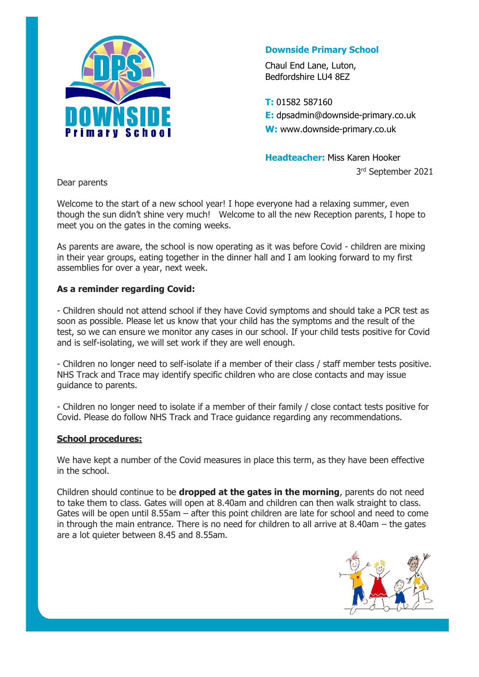

## **Downside Primary School**

Chaul End Lane, Luton, Bedfordshire LU4 8EZ

**T:** 01582 587160 **E:** dpsadmin@downside-primary.co.uk **W:** www.downside-primary.co.uk

**Headteacher:** Miss Karen Hooker 3 rd September 2021

Dear parents

Welcome to the start of a new school year! I hope everyone had a relaxing summer, even though the sun didn't shine very much! Welcome to all the new Reception parents, I hope to meet you on the gates in the coming weeks.

As parents are aware, the school is now operating as it was before Covid - children are mixing in their year groups, eating together in the dinner hall and I am looking forward to my first assemblies for over a year, next week.

## **As a reminder regarding Covid:**

- Children should not attend school if they have Covid symptoms and should take a PCR test as soon as possible. Please let us know that your child has the symptoms and the result of the test, so we can ensure we monitor any cases in our school. If your child tests positive for Covid and is self-isolating, we will set work if they are well enough.

- Children no longer need to self-isolate if a member of their class / staff member tests positive. NHS Track and Trace may identify specific children who are close contacts and may issue guidance to parents.

- Children no longer need to isolate if a member of their family / close contact tests positive for Covid. Please do follow NHS Track and Trace guidance regarding any recommendations.

## **School procedures:**

We have kept a number of the Covid measures in place this term, as they have been effective in the school.

Children should continue to be **dropped at the gates in the morning**, parents do not need to take them to class. Gates will open at 8.40am and children can then walk straight to class. Gates will be open until 8.55am – after this point children are late for school and need to come in through the main entrance. There is no need for children to all arrive at 8.40am – the gates are a lot quieter between 8.45 and 8.55am.